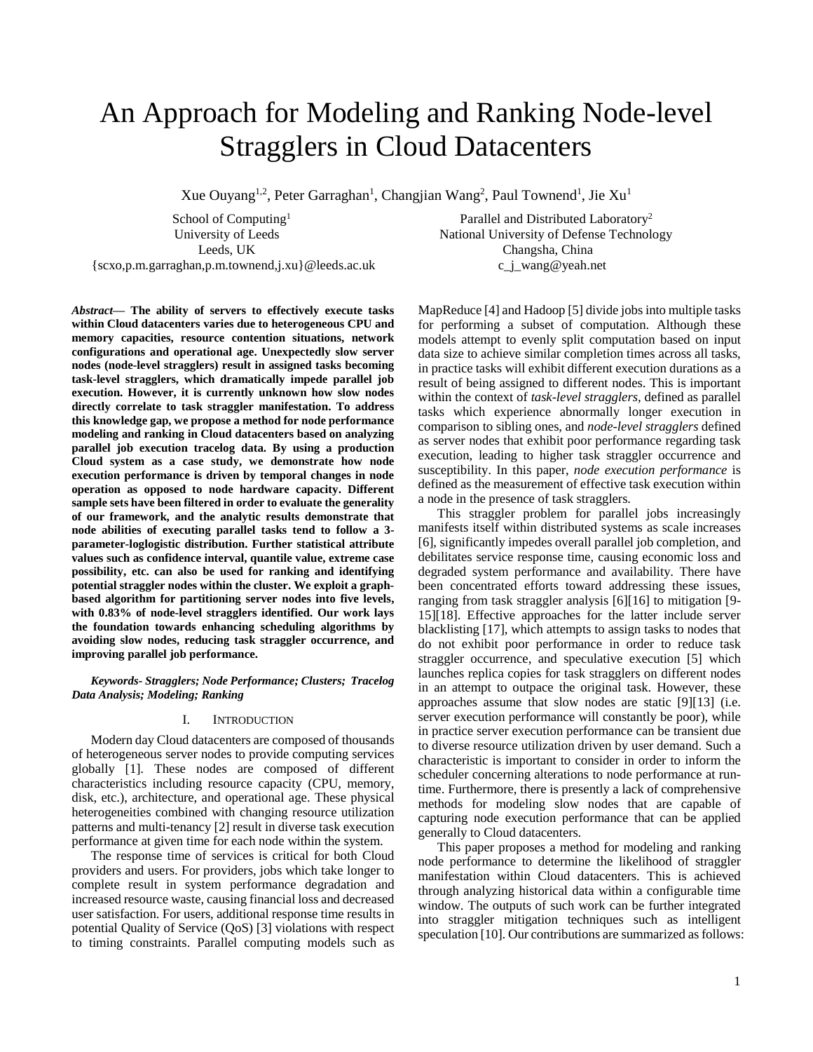# An Approach for Modeling and Ranking Node-level Stragglers in Cloud Datacenters

Xue Ouyang<sup>1,2</sup>, Peter Garraghan<sup>1</sup>, Changjian Wang<sup>2</sup>, Paul Townend<sup>1</sup>, Jie Xu<sup>1</sup>

School of Computing<sup>1</sup> University of Leeds Leeds, UK {scxo,p.m.garraghan,p.m.townend,j.xu}@leeds.ac.uk

Parallel and Distributed Laboratory<sup>2</sup> National University of Defense Technology Changsha, China c\_j\_wang@yeah.net

*Abstract***— The ability of servers to effectively execute tasks within Cloud datacenters varies due to heterogeneous CPU and memory capacities, resource contention situations, network configurations and operational age. Unexpectedly slow server nodes (node-level stragglers) result in assigned tasks becoming task-level stragglers, which dramatically impede parallel job execution. However, it is currently unknown how slow nodes directly correlate to task straggler manifestation. To address this knowledge gap, we propose a method for node performance modeling and ranking in Cloud datacenters based on analyzing parallel job execution tracelog data. By using a production Cloud system as a case study, we demonstrate how node execution performance is driven by temporal changes in node operation as opposed to node hardware capacity. Different sample sets have been filtered in order to evaluate the generality of our framework, and the analytic results demonstrate that node abilities of executing parallel tasks tend to follow a 3 parameter-loglogistic distribution. Further statistical attribute values such as confidence interval, quantile value, extreme case possibility, etc. can also be used for ranking and identifying potential straggler nodes within the cluster. We exploit a graphbased algorithm for partitioning server nodes into five levels, with 0.83% of node-level stragglers identified. Our work lays the foundation towards enhancing scheduling algorithms by avoiding slow nodes, reducing task straggler occurrence, and improving parallel job performance.**

# *Keywords- Stragglers; Node Performance; Clusters; Tracelog Data Analysis; Modeling; Ranking*

#### I. INTRODUCTION

Modern day Cloud datacenters are composed of thousands of heterogeneous server nodes to provide computing services globally [1]. These nodes are composed of different characteristics including resource capacity (CPU, memory, disk, etc.), architecture, and operational age. These physical heterogeneities combined with changing resource utilization patterns and multi-tenancy [2] result in diverse task execution performance at given time for each node within the system.

The response time of services is critical for both Cloud providers and users. For providers, jobs which take longer to complete result in system performance degradation and increased resource waste, causing financial loss and decreased user satisfaction. For users, additional response time results in potential Quality of Service (QoS) [3] violations with respect to timing constraints. Parallel computing models such as MapReduce [4] and Hadoop [5] divide jobs into multiple tasks for performing a subset of computation. Although these models attempt to evenly split computation based on input data size to achieve similar completion times across all tasks, in practice tasks will exhibit different execution durations as a result of being assigned to different nodes. This is important within the context of *task-level stragglers,* defined as parallel tasks which experience abnormally longer execution in comparison to sibling ones, and *node-level stragglers* defined as server nodes that exhibit poor performance regarding task execution, leading to higher task straggler occurrence and susceptibility. In this paper, *node execution performance* is defined as the measurement of effective task execution within a node in the presence of task stragglers.

This straggler problem for parallel jobs increasingly manifests itself within distributed systems as scale increases [6], significantly impedes overall parallel job completion, and debilitates service response time, causing economic loss and degraded system performance and availability. There have been concentrated efforts toward addressing these issues, ranging from task straggler analysis [6][16] to mitigation [9- 15][18]. Effective approaches for the latter include server blacklisting [17], which attempts to assign tasks to nodes that do not exhibit poor performance in order to reduce task straggler occurrence, and speculative execution [5] which launches replica copies for task stragglers on different nodes in an attempt to outpace the original task. However, these approaches assume that slow nodes are static [9][13] (i.e. server execution performance will constantly be poor), while in practice server execution performance can be transient due to diverse resource utilization driven by user demand. Such a characteristic is important to consider in order to inform the scheduler concerning alterations to node performance at runtime. Furthermore, there is presently a lack of comprehensive methods for modeling slow nodes that are capable of capturing node execution performance that can be applied generally to Cloud datacenters.

This paper proposes a method for modeling and ranking node performance to determine the likelihood of straggler manifestation within Cloud datacenters. This is achieved through analyzing historical data within a configurable time window. The outputs of such work can be further integrated into straggler mitigation techniques such as intelligent speculation [10]. Our contributions are summarized as follows: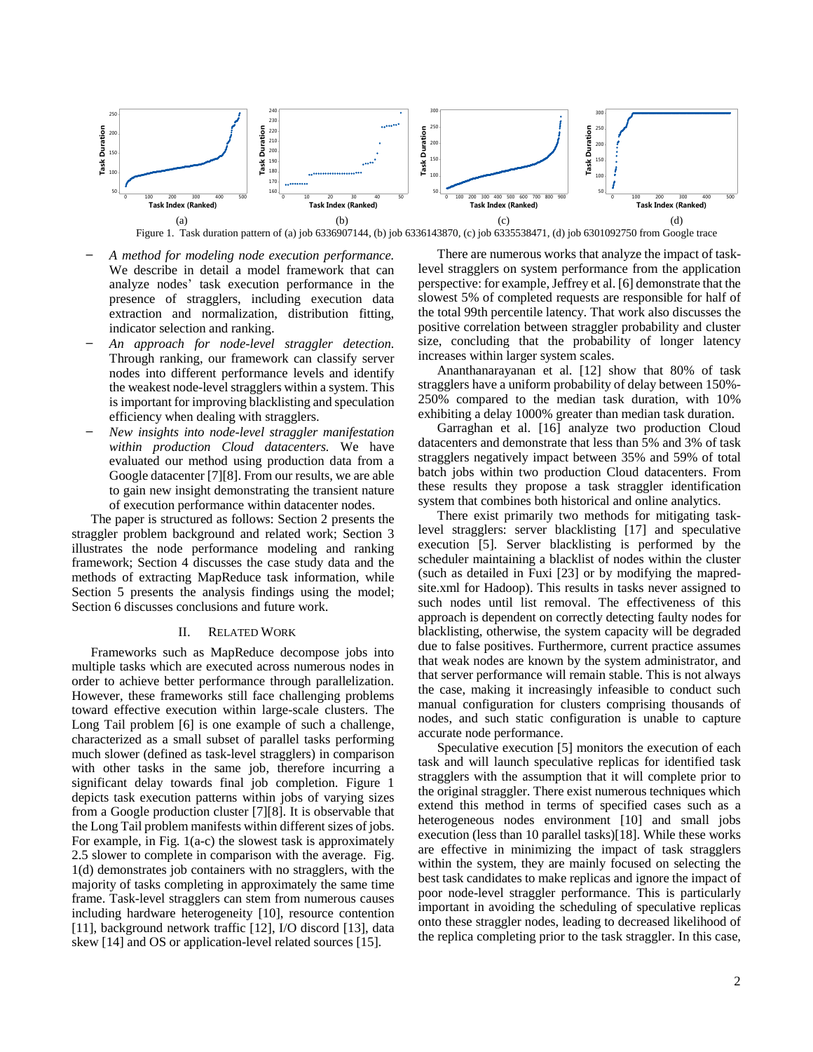

Figure 1. Task duration pattern of (a) job 6336907144, (b) job 6336143870, (c) job 6335538471, (d) job 6301092750 from Google trace

- ̶ *A method for modeling node execution performance.* We describe in detail a model framework that can analyze nodes' task execution performance in the presence of stragglers, including execution data extraction and normalization, distribution fitting, indicator selection and ranking.
- ̶ *An approach for node-level straggler detection.* Through ranking, our framework can classify server nodes into different performance levels and identify the weakest node-level stragglers within a system. This is important for improving blacklisting and speculation efficiency when dealing with stragglers.
- ̶ *New insights into node-level straggler manifestation within production Cloud datacenters.* We have evaluated our method using production data from a Google datacenter [7][8]. From our results, we are able to gain new insight demonstrating the transient nature of execution performance within datacenter nodes.

The paper is structured as follows: Section 2 presents the straggler problem background and related work; Section 3 illustrates the node performance modeling and ranking framework; Section 4 discusses the case study data and the methods of extracting MapReduce task information, while Section 5 presents the analysis findings using the model; Section 6 discusses conclusions and future work.

# II. RELATED WORK

Frameworks such as MapReduce decompose jobs into multiple tasks which are executed across numerous nodes in order to achieve better performance through parallelization. However, these frameworks still face challenging problems toward effective execution within large-scale clusters. The Long Tail problem [6] is one example of such a challenge, characterized as a small subset of parallel tasks performing much slower (defined as task-level stragglers) in comparison with other tasks in the same job, therefore incurring a significant delay towards final job completion. Figure 1 depicts task execution patterns within jobs of varying sizes from a Google production cluster [7][8]. It is observable that the Long Tail problem manifests within different sizes of jobs. For example, in Fig. 1(a-c) the slowest task is approximately 2.5 slower to complete in comparison with the average. Fig. 1(d) demonstrates job containers with no stragglers, with the majority of tasks completing in approximately the same time frame. Task-level stragglers can stem from numerous causes including hardware heterogeneity [10], resource contention [11], background network traffic [12], I/O discord [13], data skew [14] and OS or application-level related sources [15].

There are numerous works that analyze the impact of tasklevel stragglers on system performance from the application perspective: for example, Jeffrey et al. [6] demonstrate that the slowest 5% of completed requests are responsible for half of the total 99th percentile latency. That work also discusses the positive correlation between straggler probability and cluster size, concluding that the probability of longer latency increases within larger system scales.

Ananthanarayanan et al. [12] show that 80% of task stragglers have a uniform probability of delay between 150%- 250% compared to the median task duration, with 10% exhibiting a delay 1000% greater than median task duration.

Garraghan et al. [16] analyze two production Cloud datacenters and demonstrate that less than 5% and 3% of task stragglers negatively impact between 35% and 59% of total batch jobs within two production Cloud datacenters. From these results they propose a task straggler identification system that combines both historical and online analytics.

There exist primarily two methods for mitigating tasklevel stragglers: server blacklisting [17] and speculative execution [5]. Server blacklisting is performed by the scheduler maintaining a blacklist of nodes within the cluster (such as detailed in Fuxi [23] or by modifying the mapredsite.xml for Hadoop). This results in tasks never assigned to such nodes until list removal. The effectiveness of this approach is dependent on correctly detecting faulty nodes for blacklisting, otherwise, the system capacity will be degraded due to false positives. Furthermore, current practice assumes that weak nodes are known by the system administrator, and that server performance will remain stable. This is not always the case, making it increasingly infeasible to conduct such manual configuration for clusters comprising thousands of nodes, and such static configuration is unable to capture accurate node performance.

Speculative execution [5] monitors the execution of each task and will launch speculative replicas for identified task stragglers with the assumption that it will complete prior to the original straggler. There exist numerous techniques which extend this method in terms of specified cases such as a heterogeneous nodes environment [10] and small jobs execution (less than 10 parallel tasks)[18]. While these works are effective in minimizing the impact of task stragglers within the system, they are mainly focused on selecting the best task candidates to make replicas and ignore the impact of poor node-level straggler performance. This is particularly important in avoiding the scheduling of speculative replicas onto these straggler nodes, leading to decreased likelihood of the replica completing prior to the task straggler. In this case,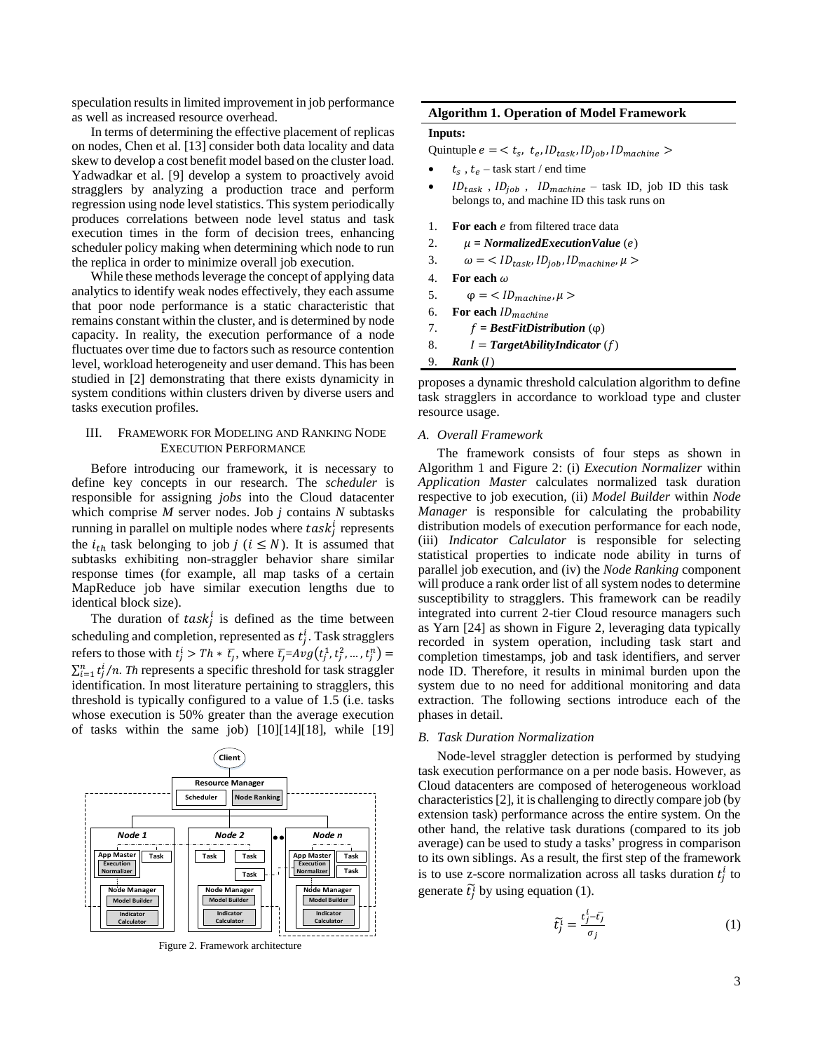speculation results in limited improvement in job performance as well as increased resource overhead.

In terms of determining the effective placement of replicas on nodes, Chen et al. [13] consider both data locality and data skew to develop a cost benefit model based on the cluster load. Yadwadkar et al. [9] develop a system to proactively avoid stragglers by analyzing a production trace and perform regression using node level statistics. This system periodically produces correlations between node level status and task execution times in the form of decision trees, enhancing scheduler policy making when determining which node to run the replica in order to minimize overall job execution.

While these methods leverage the concept of applying data analytics to identify weak nodes effectively, they each assume that poor node performance is a static characteristic that remains constant within the cluster, and is determined by node capacity. In reality, the execution performance of a node fluctuates over time due to factors such as resource contention level, workload heterogeneity and user demand. This has been studied in [2] demonstrating that there exists dynamicity in system conditions within clusters driven by diverse users and tasks execution profiles.

# III. FRAMEWORK FOR MODELING AND RANKING NODE EXECUTION PERFORMANCE

Before introducing our framework, it is necessary to define key concepts in our research. The *scheduler* is responsible for assigning *jobs* into the Cloud datacenter which comprise *M* server nodes. Job *j* contains *N* subtasks running in parallel on multiple nodes where  $task<sub>j</sub><sup>i</sup>$  represents the  $i_{th}$  task belonging to job  $j$  ( $i \leq N$ ). It is assumed that subtasks exhibiting non-straggler behavior share similar response times (for example, all map tasks of a certain MapReduce job have similar execution lengths due to identical block size).

The duration of  $task_j^i$  is defined as the time between scheduling and completion, represented as  $t_j^i$ . Task stragglers refers to those with  $t_j^i > Th * \overline{t_j}$ , where  $\overline{t_j} = Avg(t_j^1, t_j^2, ..., t_j^n) =$  $\sum_{i=1}^{n} t_j^i/n$ . *Th* represents a specific threshold for task straggler identification. In most literature pertaining to stragglers, this threshold is typically configured to a value of 1.5 (i.e. tasks whose execution is 50% greater than the average execution of tasks within the same job) [10][14][18], while [19]



Figure 2. Framework architecture

# **Algorithm 1. Operation of Model Framework**

# **Inputs:**

Quintuple  $e = \langle t_s, t_e, ID_{task}, ID_{job}, ID_{machine} \rangle$ 

- $t_s$ ,  $t_e$  task start / end time
- $ID_{task}$ ,  $ID_{job}$ ,  $ID_{machine}$  task ID, job ID this task belongs to, and machine ID this task runs on
- 1. **For each** *e* from filtered trace data
- 2.  $\mu = NormalizedExecutionValue(e)$
- 3.  $\omega = \langle ID_{task}, ID_{job}, ID_{machine}, \mu \rangle$
- 4. **For each**  $\omega$
- 5.  $\qquad \varphi = \langle ID_{machine}, \mu \rangle$
- 6. **For each**  $ID_{machine}$
- 7.  $f = BestFitDistribution(\varphi)$
- 8.  $I = TargetabilityIndicator(f)$

#### 9. **Rank** (1)

proposes a dynamic threshold calculation algorithm to define task stragglers in accordance to workload type and cluster resource usage.

#### *A. Overall Framework*

The framework consists of four steps as shown in Algorithm 1 and Figure 2: (i) *Execution Normalizer* within *Application Master* calculates normalized task duration respective to job execution, (ii) *Model Builder* within *Node Manager* is responsible for calculating the probability distribution models of execution performance for each node, (iii) *Indicator Calculator* is responsible for selecting statistical properties to indicate node ability in turns of parallel job execution, and (iv) the *Node Ranking* component will produce a rank order list of all system nodes to determine susceptibility to stragglers. This framework can be readily integrated into current 2-tier Cloud resource managers such as Yarn [24] as shown in Figure 2, leveraging data typically recorded in system operation, including task start and completion timestamps, job and task identifiers, and server node ID. Therefore, it results in minimal burden upon the system due to no need for additional monitoring and data extraction. The following sections introduce each of the phases in detail.

#### *B. Task Duration Normalization*

Node-level straggler detection is performed by studying task execution performance on a per node basis. However, as Cloud datacenters are composed of heterogeneous workload characteristics [2], it is challenging to directly compare job (by extension task) performance across the entire system. On the other hand, the relative task durations (compared to its job average) can be used to study a tasks' progress in comparison to its own siblings. As a result, the first step of the framework is to use z-score normalization across all tasks duration  $t_j^i$  to generate  $\tilde{t}_j^{\tilde{i}}$  by using equation (1).

$$
\tilde{t}_j^i = \frac{t_j^i - \bar{t}_j}{\sigma_j} \tag{1}
$$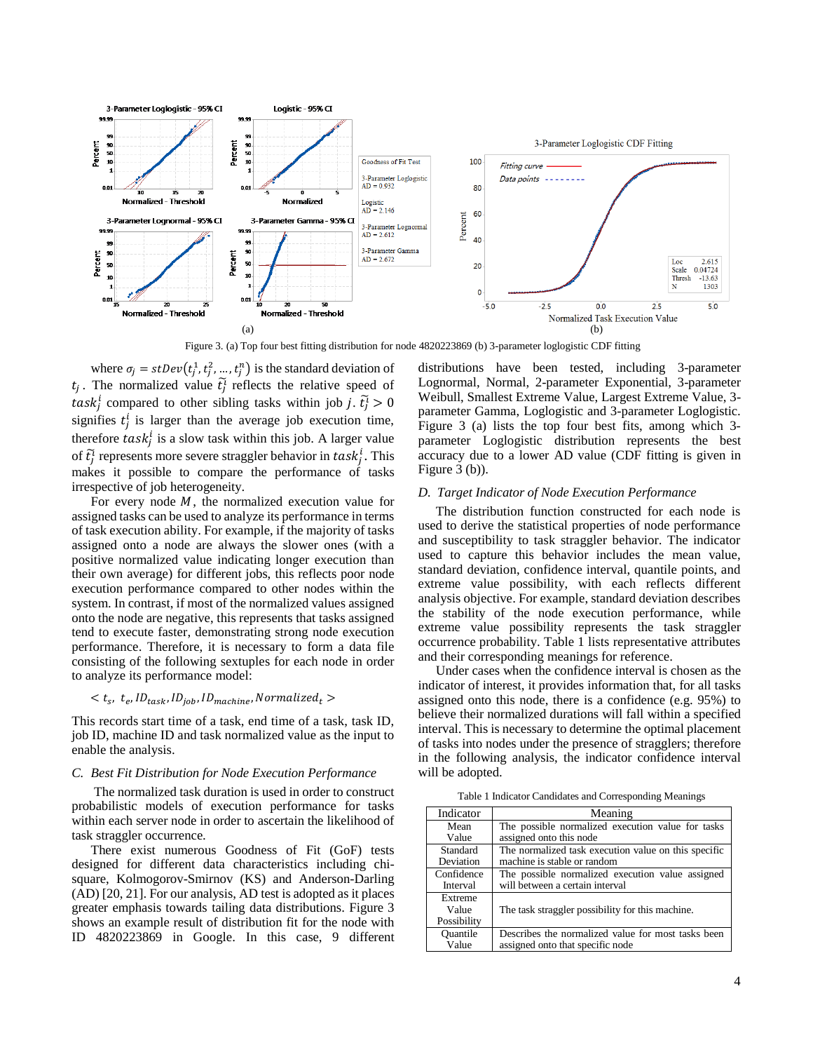

Figure 3. (a) Top four best fitting distribution for node 4820223869 (b) 3-parameter loglogistic CDF fitting

where  $\sigma_j = stDev(t_j^1, t_j^2, ..., t_j^n)$  is the standard deviation of  $t_j$ . The normalized value  $\tilde{t}_j^i$  reflects the relative speed of task<sup>*i*</sup> compared to other sibling tasks within job *j*.  $\tilde{t}_j^1 > 0$ signifies  $t_j^i$  is larger than the average job execution time, therefore  $task_j^i$  is a slow task within this job. A larger value of  $\tilde{t}_j^i$  represents more severe straggler behavior in  $task_j^i$ . This makes it possible to compare the performance of tasks irrespective of job heterogeneity.

For every node  $M$ , the normalized execution value for assigned tasks can be used to analyze its performance in terms of task execution ability. For example, if the majority of tasks assigned onto a node are always the slower ones (with a positive normalized value indicating longer execution than their own average) for different jobs, this reflects poor node execution performance compared to other nodes within the system. In contrast, if most of the normalized values assigned onto the node are negative, this represents that tasks assigned tend to execute faster, demonstrating strong node execution performance. Therefore, it is necessary to form a data file consisting of the following sextuples for each node in order to analyze its performance model:

# $< t_s$ ,  $t_e$ ,  $ID_{task}$ ,  $ID_{job}$ ,  $ID_{machine}$ , Normalized<sub>t</sub> >

This records start time of a task, end time of a task, task ID, job ID, machine ID and task normalized value as the input to enable the analysis.

# *C. Best Fit Distribution for Node Execution Performance*

The normalized task duration is used in order to construct probabilistic models of execution performance for tasks within each server node in order to ascertain the likelihood of task straggler occurrence.

There exist numerous Goodness of Fit (GoF) tests designed for different data characteristics including chisquare, Kolmogorov-Smirnov (KS) and Anderson-Darling (AD) [20, 21]. For our analysis, AD test is adopted as it places greater emphasis towards tailing data distributions. Figure 3 shows an example result of distribution fit for the node with ID 4820223869 in Google. In this case, 9 different distributions have been tested, including 3-parameter Lognormal, Normal, 2-parameter Exponential, 3-parameter Weibull, Smallest Extreme Value, Largest Extreme Value, 3 parameter Gamma, Loglogistic and 3-parameter Loglogistic. Figure 3 (a) lists the top four best fits, among which 3 parameter Loglogistic distribution represents the best accuracy due to a lower AD value (CDF fitting is given in Figure 3 (b)).

### *D. Target Indicator of Node Execution Performance*

The distribution function constructed for each node is used to derive the statistical properties of node performance and susceptibility to task straggler behavior. The indicator used to capture this behavior includes the mean value, standard deviation, confidence interval, quantile points, and extreme value possibility, with each reflects different analysis objective. For example, standard deviation describes the stability of the node execution performance, while extreme value possibility represents the task straggler occurrence probability. Table 1 lists representative attributes and their corresponding meanings for reference.

Under cases when the confidence interval is chosen as the indicator of interest, it provides information that, for all tasks assigned onto this node, there is a confidence (e.g. 95%) to believe their normalized durations will fall within a specified interval. This is necessary to determine the optimal placement of tasks into nodes under the presence of stragglers; therefore in the following analysis, the indicator confidence interval will be adopted.

Table 1 Indicator Candidates and Corresponding Meanings

| Indicator   | Meaning                                              |
|-------------|------------------------------------------------------|
| Mean        | The possible normalized execution value for tasks    |
| Value       | assigned onto this node                              |
| Standard    | The normalized task execution value on this specific |
| Deviation   | machine is stable or random                          |
| Confidence  | The possible normalized execution value assigned     |
| Interval    | will between a certain interval                      |
| Extreme     |                                                      |
| Value       | The task straggler possibility for this machine.     |
| Possibility |                                                      |
| Ouantile    | Describes the normalized value for most tasks been   |
| Value       | assigned onto that specific node                     |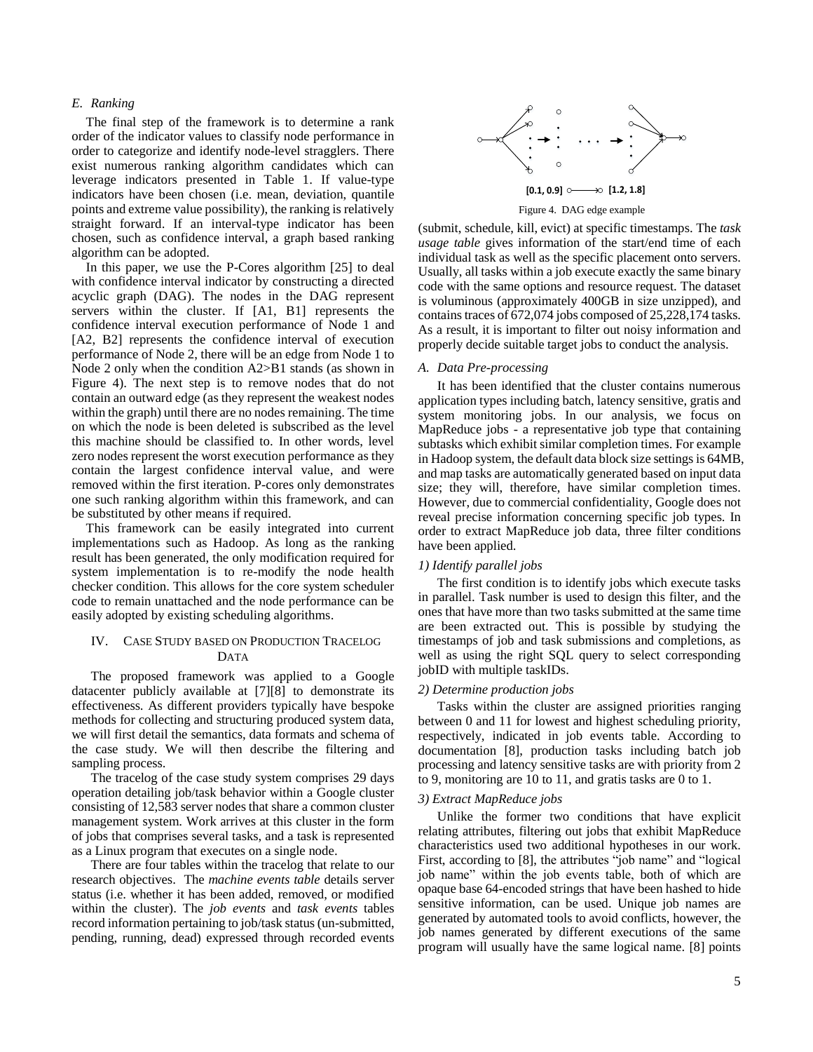# *E. Ranking*

The final step of the framework is to determine a rank order of the indicator values to classify node performance in order to categorize and identify node-level stragglers. There exist numerous ranking algorithm candidates which can leverage indicators presented in Table 1. If value-type indicators have been chosen (i.e. mean, deviation, quantile points and extreme value possibility), the ranking is relatively straight forward. If an interval-type indicator has been chosen, such as confidence interval, a graph based ranking algorithm can be adopted.

In this paper, we use the P-Cores algorithm [25] to deal with confidence interval indicator by constructing a directed acyclic graph (DAG). The nodes in the DAG represent servers within the cluster. If [A1, B1] represents the confidence interval execution performance of Node 1 and [A2, B2] represents the confidence interval of execution performance of Node 2, there will be an edge from Node 1 to Node 2 only when the condition A2>B1 stands (as shown in Figure 4). The next step is to remove nodes that do not contain an outward edge (as they represent the weakest nodes within the graph) until there are no nodes remaining. The time on which the node is been deleted is subscribed as the level this machine should be classified to. In other words, level zero nodes represent the worst execution performance as they contain the largest confidence interval value, and were removed within the first iteration. P-cores only demonstrates one such ranking algorithm within this framework, and can be substituted by other means if required.

This framework can be easily integrated into current implementations such as Hadoop. As long as the ranking result has been generated, the only modification required for system implementation is to re-modify the node health checker condition. This allows for the core system scheduler code to remain unattached and the node performance can be easily adopted by existing scheduling algorithms.

# IV. CASE STUDY BASED ON PRODUCTION TRACELOG DATA

The proposed framework was applied to a Google datacenter publicly available at [7][8] to demonstrate its effectiveness. As different providers typically have bespoke methods for collecting and structuring produced system data, we will first detail the semantics, data formats and schema of the case study. We will then describe the filtering and sampling process.

The tracelog of the case study system comprises 29 days operation detailing job/task behavior within a Google cluster consisting of 12,583 server nodes that share a common cluster management system. Work arrives at this cluster in the form of jobs that comprises several tasks, and a task is represented as a Linux program that executes on a single node.

There are four tables within the tracelog that relate to our research objectives. The *machine events table* details server status (i.e. whether it has been added, removed, or modified within the cluster). The *job events* and *task events* tables record information pertaining to job/task status (un-submitted, pending, running, dead) expressed through recorded events



Figure 4. DAG edge example

(submit, schedule, kill, evict) at specific timestamps. The *task usage table* gives information of the start/end time of each individual task as well as the specific placement onto servers. Usually, all tasks within a job execute exactly the same binary code with the same options and resource request. The dataset is voluminous (approximately 400GB in size unzipped), and contains traces of 672,074 jobs composed of 25,228,174 tasks. As a result, it is important to filter out noisy information and properly decide suitable target jobs to conduct the analysis.

#### *A. Data Pre-processing*

It has been identified that the cluster contains numerous application types including batch, latency sensitive, gratis and system monitoring jobs. In our analysis, we focus on MapReduce jobs - a representative job type that containing subtasks which exhibit similar completion times. For example in Hadoop system, the default data block size settings is 64MB, and map tasks are automatically generated based on input data size; they will, therefore, have similar completion times. However, due to commercial confidentiality, Google does not reveal precise information concerning specific job types. In order to extract MapReduce job data, three filter conditions have been applied.

#### *1) Identify parallel jobs*

The first condition is to identify jobs which execute tasks in parallel. Task number is used to design this filter, and the ones that have more than two tasks submitted at the same time are been extracted out. This is possible by studying the timestamps of job and task submissions and completions, as well as using the right SQL query to select corresponding jobID with multiple taskIDs.

#### *2) Determine production jobs*

Tasks within the cluster are assigned priorities ranging between 0 and 11 for lowest and highest scheduling priority, respectively, indicated in job events table. According to documentation [8], production tasks including batch job processing and latency sensitive tasks are with priority from 2 to 9, monitoring are 10 to 11, and gratis tasks are 0 to 1.

# *3) Extract MapReduce jobs*

Unlike the former two conditions that have explicit relating attributes, filtering out jobs that exhibit MapReduce characteristics used two additional hypotheses in our work. First, according to [8], the attributes "job name" and "logical job name" within the job events table, both of which are opaque base 64-encoded strings that have been hashed to hide sensitive information, can be used. Unique job names are generated by automated tools to avoid conflicts, however, the job names generated by different executions of the same program will usually have the same logical name. [8] points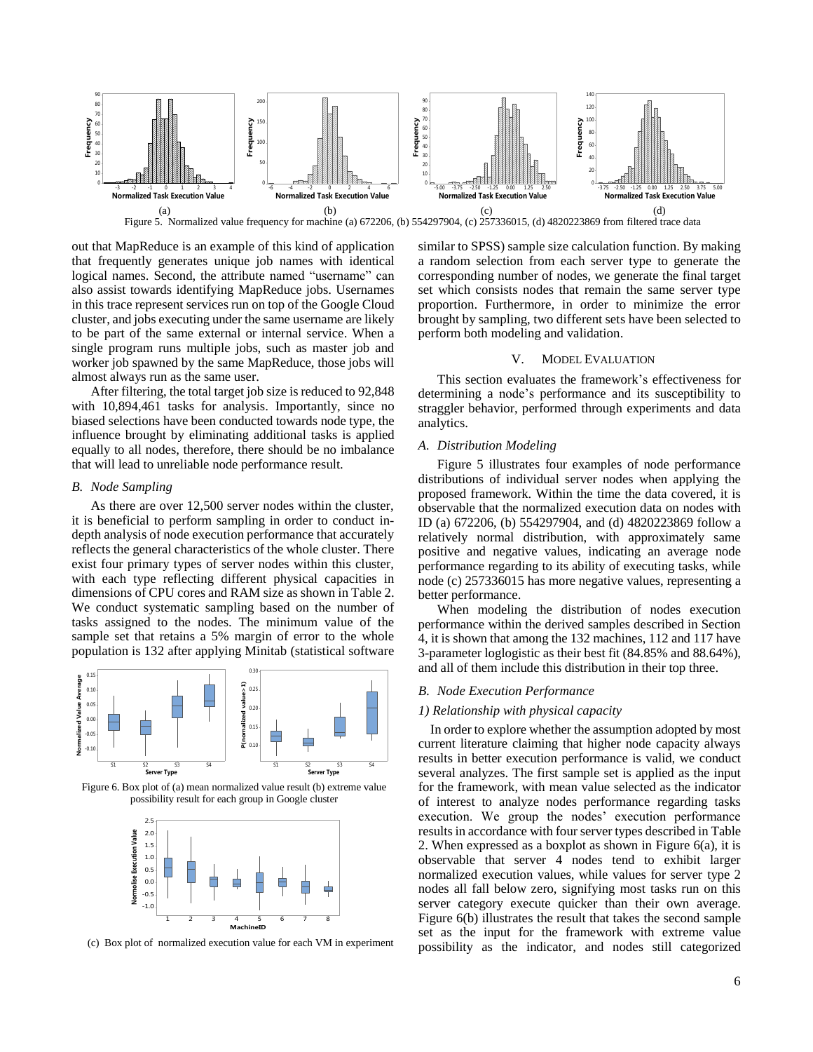

out that MapReduce is an example of this kind of application that frequently generates unique job names with identical logical names. Second, the attribute named "username" can also assist towards identifying MapReduce jobs. Usernames in this trace represent services run on top of the Google Cloud cluster, and jobs executing under the same username are likely to be part of the same external or internal service. When a single program runs multiple jobs, such as master job and worker job spawned by the same MapReduce, those jobs will almost always run as the same user.

After filtering, the total target job size is reduced to 92,848 with 10,894,461 tasks for analysis. Importantly, since no biased selections have been conducted towards node type, the influence brought by eliminating additional tasks is applied equally to all nodes, therefore, there should be no imbalance that will lead to unreliable node performance result.

#### *B. Node Sampling*

As there are over 12,500 server nodes within the cluster, it is beneficial to perform sampling in order to conduct indepth analysis of node execution performance that accurately reflects the general characteristics of the whole cluster. There exist four primary types of server nodes within this cluster, with each type reflecting different physical capacities in dimensions of CPU cores and RAM size as shown in Table 2. We conduct systematic sampling based on the number of tasks assigned to the nodes. The minimum value of the sample set that retains a 5% margin of error to the whole population is 132 after applying Minitab (statistical software





**MachinelD**<br>(c) Box plot of normalized execution value for each VM in experiment

similar to SPSS) sample size calculation function. By making a random selection from each server type to generate the corresponding number of nodes, we generate the final target set which consists nodes that remain the same server type proportion. Furthermore, in order to minimize the error brought by sampling, two different sets have been selected to perform both modeling and validation.

#### V. MODEL EVALUATION

This section evaluates the framework's effectiveness for determining a node's performance and its susceptibility to straggler behavior, performed through experiments and data analytics.

# *A. Distribution Modeling*

Figure 5 illustrates four examples of node performance distributions of individual server nodes when applying the proposed framework. Within the time the data covered, it is observable that the normalized execution data on nodes with ID (a) 672206, (b) 554297904, and (d) 4820223869 follow a relatively normal distribution, with approximately same positive and negative values, indicating an average node performance regarding to its ability of executing tasks, while node (c) 257336015 has more negative values, representing a better performance.

When modeling the distribution of nodes execution performance within the derived samples described in Section 4, it is shown that among the 132 machines, 112 and 117 have 3-parameter loglogistic as their best fit (84.85% and 88.64%), and all of them include this distribution in their top three.

# *B. Node Execution Performance*

#### *1) Relationship with physical capacity*

In order to explore whether the assumption adopted by most current literature claiming that higher node capacity always results in better execution performance is valid, we conduct several analyzes. The first sample set is applied as the input for the framework, with mean value selected as the indicator of interest to analyze nodes performance regarding tasks execution. We group the nodes' execution performance results in accordance with four server types described in Table 2. When expressed as a boxplot as shown in Figure 6(a), it is observable that server 4 nodes tend to exhibit larger normalized execution values, while values for server type 2 nodes all fall below zero, signifying most tasks run on this server category execute quicker than their own average. Figure 6(b) illustrates the result that takes the second sample set as the input for the framework with extreme value possibility as the indicator, and nodes still categorized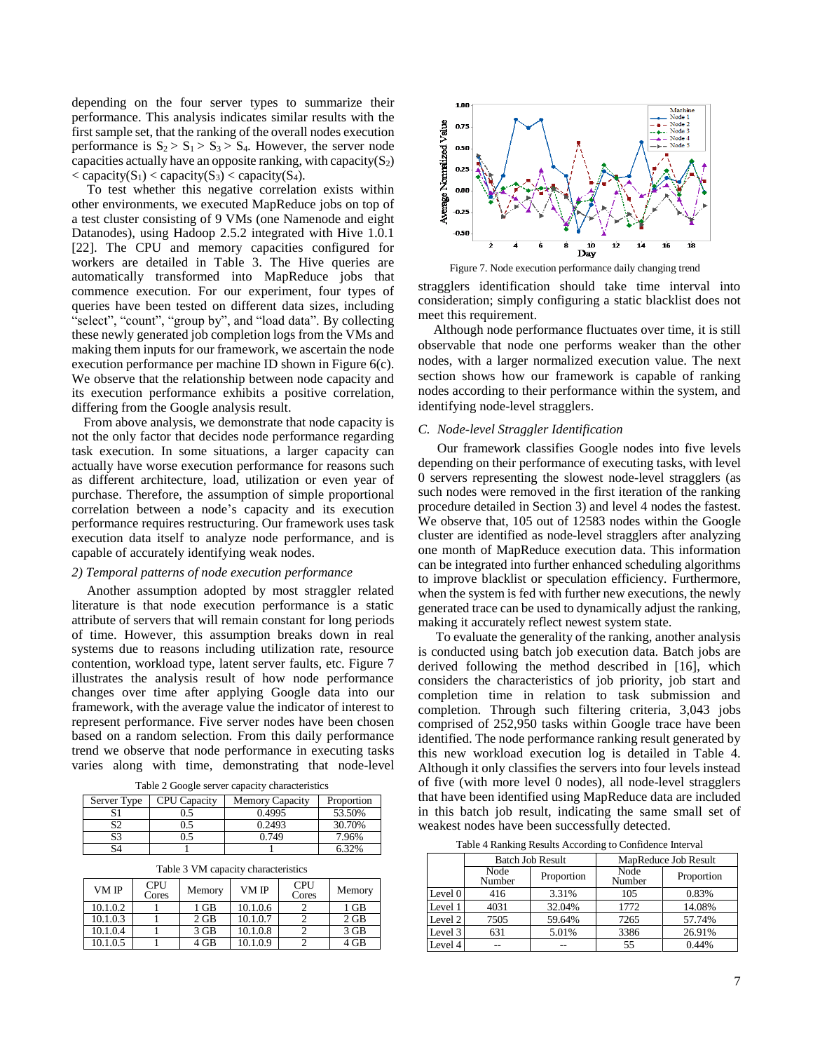depending on the four server types to summarize their performance. This analysis indicates similar results with the first sample set, that the ranking of the overall nodes execution performance is  $S_2 > S_1 > S_3 > S_4$ . However, the server node capacities actually have an opposite ranking, with capacity( $S_2$ )  $\langle$  capacity(S<sub>1</sub>)  $\langle$  capacity(S<sub>3</sub>)  $\langle$  capacity(S<sub>4</sub>).

To test whether this negative correlation exists within other environments, we executed MapReduce jobs on top of a test cluster consisting of 9 VMs (one Namenode and eight Datanodes), using Hadoop 2.5.2 integrated with Hive 1.0.1 [22]. The CPU and memory capacities configured for workers are detailed in Table 3. The Hive queries are automatically transformed into MapReduce jobs that commence execution. For our experiment, four types of queries have been tested on different data sizes, including "select", "count", "group by", and "load data". By collecting these newly generated job completion logs from the VMs and making them inputs for our framework, we ascertain the node execution performance per machine ID shown in Figure 6(c). We observe that the relationship between node capacity and its execution performance exhibits a positive correlation, differing from the Google analysis result.

From above analysis, we demonstrate that node capacity is not the only factor that decides node performance regarding task execution. In some situations, a larger capacity can actually have worse execution performance for reasons such as different architecture, load, utilization or even year of purchase. Therefore, the assumption of simple proportional correlation between a node's capacity and its execution performance requires restructuring. Our framework uses task execution data itself to analyze node performance, and is capable of accurately identifying weak nodes.

#### *2) Temporal patterns of node execution performance*

Another assumption adopted by most straggler related literature is that node execution performance is a static attribute of servers that will remain constant for long periods of time. However, this assumption breaks down in real systems due to reasons including utilization rate, resource contention, workload type, latent server faults, etc. Figure 7 illustrates the analysis result of how node performance changes over time after applying Google data into our framework, with the average value the indicator of interest to represent performance. Five server nodes have been chosen based on a random selection. From this daily performance trend we observe that node performance in executing tasks varies along with time, demonstrating that node-level

| Table 2 Google server capacity characteristics |  |  |  |  |  |  |  |  |
|------------------------------------------------|--|--|--|--|--|--|--|--|
| --                                             |  |  |  |  |  |  |  |  |

| Server Type | <b>CPU</b> Capacity | <b>Memory Capacity</b> | Proportion |
|-------------|---------------------|------------------------|------------|
| C 1         | 0.5                 | 0.4995                 | 53.50%     |
| S2          | 0.5                 | 0.2493                 | 30.70%     |
| S3          | J.C                 | 0.749                  | 7.96%      |
| S4          |                     |                        | 6.32%      |

|  | Table 3 VM capacity characteristics |  |
|--|-------------------------------------|--|
|  |                                     |  |

| VM IP    | <b>CPU</b><br>Cores | Memory | VM IP    | <b>CPU</b><br>Cores | Memory |
|----------|---------------------|--------|----------|---------------------|--------|
| 10.1.0.2 |                     | 1 GB   | 10.1.0.6 |                     | $1$ GB |
| 10.1.0.3 |                     | $2$ GB | 10.1.0.7 |                     | $2$ GB |
| 10.1.0.4 |                     | 3 GB   | 10.1.0.8 |                     | 3 GB   |
| 10.1.0.5 |                     | 4 GB   | 10.1.0.9 |                     | 4 GB   |



Figure 7. Node execution performance daily changing trend

stragglers identification should take time interval into consideration; simply configuring a static blacklist does not meet this requirement.

Although node performance fluctuates over time, it is still observable that node one performs weaker than the other nodes, with a larger normalized execution value. The next section shows how our framework is capable of ranking nodes according to their performance within the system, and identifying node-level stragglers.

## *C. Node-level Straggler Identification*

Our framework classifies Google nodes into five levels depending on their performance of executing tasks, with level 0 servers representing the slowest node-level stragglers (as such nodes were removed in the first iteration of the ranking procedure detailed in Section 3) and level 4 nodes the fastest. We observe that, 105 out of 12583 nodes within the Google cluster are identified as node-level stragglers after analyzing one month of MapReduce execution data. This information can be integrated into further enhanced scheduling algorithms to improve blacklist or speculation efficiency. Furthermore, when the system is fed with further new executions, the newly generated trace can be used to dynamically adjust the ranking, making it accurately reflect newest system state.

To evaluate the generality of the ranking, another analysis is conducted using batch job execution data. Batch jobs are derived following the method described in [16], which considers the characteristics of job priority, job start and completion time in relation to task submission and completion. Through such filtering criteria, 3,043 jobs comprised of 252,950 tasks within Google trace have been identified. The node performance ranking result generated by this new workload execution log is detailed in Table 4. Although it only classifies the servers into four levels instead of five (with more level 0 nodes), all node-level stragglers that have been identified using MapReduce data are included in this batch job result, indicating the same small set of weakest nodes have been successfully detected.

Table 4 Ranking Results According to Confidence Interval

|            |                | <b>Batch Job Result</b> | MapReduce Job Result |            |  |
|------------|----------------|-------------------------|----------------------|------------|--|
|            | Node<br>Number | Proportion              | Node<br>Number       | Proportion |  |
| Level $0l$ | 416            | 3.31%                   | 105                  | 0.83%      |  |
| Level 1    | 4031           | 32.04%                  | 1772                 | 14.08%     |  |
| Level 2    | 7505           | 59.64%                  | 7265                 | 57.74%     |  |
| Level 3    | 631            | 5.01%                   | 3386                 | 26.91%     |  |
| Level 4    |                |                         | 55                   | 0.44%      |  |